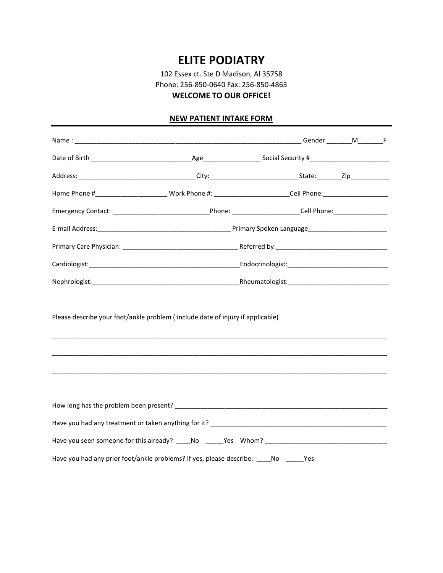# **ELITE PODIATRY**

102 Essex ct. Ste D Madison, Al 35758 Phone: 256-850-0640 Fax: 256-850-4863 **WELCOME TO OUR OFFICE!**

# **NEW PATIENT INTAKE FORM**

|                                                                                      |  | Home Phone #____________________________Work Phone #: ________________________Cell Phone:_____________________ |  |  |  |  |
|--------------------------------------------------------------------------------------|--|----------------------------------------------------------------------------------------------------------------|--|--|--|--|
|                                                                                      |  |                                                                                                                |  |  |  |  |
|                                                                                      |  |                                                                                                                |  |  |  |  |
|                                                                                      |  |                                                                                                                |  |  |  |  |
|                                                                                      |  |                                                                                                                |  |  |  |  |
|                                                                                      |  |                                                                                                                |  |  |  |  |
| Please describe your foot/ankle problem (include date of injury if applicable)       |  |                                                                                                                |  |  |  |  |
|                                                                                      |  |                                                                                                                |  |  |  |  |
|                                                                                      |  |                                                                                                                |  |  |  |  |
|                                                                                      |  |                                                                                                                |  |  |  |  |
|                                                                                      |  |                                                                                                                |  |  |  |  |
| Have you had any prior foot/ankle problems? If yes, please describe: ____No _____Yes |  |                                                                                                                |  |  |  |  |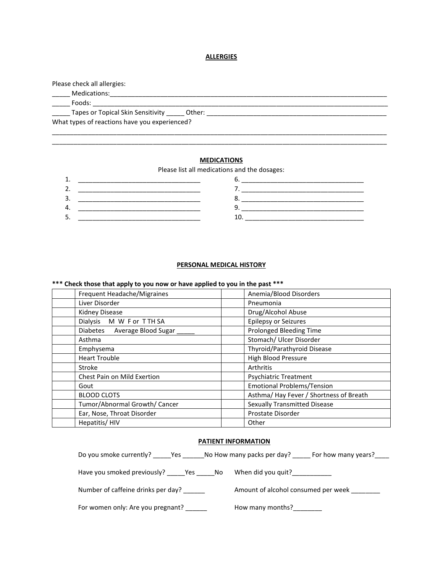#### **ALLERGIES**

Please check all allergies: \_\_\_\_\_ Medications:\_\_\_\_\_\_\_\_\_\_\_\_\_\_\_\_\_\_\_\_\_\_\_\_\_\_\_\_\_\_\_\_\_\_\_\_\_\_\_\_\_\_\_\_\_\_\_\_\_\_\_\_\_\_\_\_\_\_\_\_\_\_\_\_\_\_\_\_\_\_\_\_\_\_\_\_\_ \_\_\_\_\_ Foods: \_\_\_\_\_\_\_\_\_\_\_\_\_\_\_\_\_\_\_\_\_\_\_\_\_\_\_\_\_\_\_\_\_\_\_\_\_\_\_\_\_\_\_\_\_\_\_\_\_\_\_\_\_\_\_\_\_\_\_\_\_\_\_\_\_\_\_\_\_\_\_\_\_\_\_\_\_\_\_\_\_\_ \_\_\_\_\_ Tapes or Topical Skin Sensitivity \_\_\_\_\_ Other: \_\_\_\_\_\_\_\_\_\_\_\_\_\_\_\_\_\_\_\_\_\_\_\_\_\_\_\_\_\_\_\_\_\_\_\_\_\_\_\_\_\_\_\_\_\_\_\_\_\_ What types of reactions have you experienced? \_\_\_\_\_\_\_\_\_\_\_\_\_\_\_\_\_\_\_\_\_\_\_\_\_\_\_\_\_\_\_\_\_\_\_\_\_\_\_\_\_\_\_\_\_\_\_\_\_\_\_\_\_\_\_\_\_\_\_\_\_\_\_\_\_\_\_\_\_\_\_\_\_\_\_\_\_\_\_\_\_\_\_\_\_\_\_\_\_\_\_\_\_

# **MEDICATIONS**

\_\_\_\_\_\_\_\_\_\_\_\_\_\_\_\_\_\_\_\_\_\_\_\_\_\_\_\_\_\_\_\_\_\_\_\_\_\_\_\_\_\_\_\_\_\_\_\_\_\_\_\_\_\_\_\_\_\_\_\_\_\_\_\_\_\_\_\_\_\_\_\_\_\_\_\_\_\_\_\_\_\_\_\_\_\_\_\_\_\_\_\_\_

Please list all medications and the dosages:

| <b>.</b>   |                                                      |                                        |
|------------|------------------------------------------------------|----------------------------------------|
| <u>. .</u> | ________                                             | ____________________<br>____<br>______ |
| J.         | ______________                                       |                                        |
| ᠇.         |                                                      |                                        |
| <u>.</u>   | ___________________________<br>_____________________ | ______<br>___                          |

#### **PERSONAL MEDICAL HISTORY**

# **\*\*\* Check those that apply to you now or have applied to you in the past \*\*\***

| Frequent Headache/Migraines   | Anemia/Blood Disorders                 |
|-------------------------------|----------------------------------------|
| Liver Disorder                | Pneumonia                              |
| <b>Kidney Disease</b>         | Drug/Alcohol Abuse                     |
| Dialysis M W F or TTH SA      | <b>Epilepsy or Seizures</b>            |
| Diabetes Average Blood Sugar  | Prolonged Bleeding Time                |
| Asthma                        | Stomach/ Ulcer Disorder                |
| Emphysema                     | Thyroid/Parathyroid Disease            |
| <b>Heart Trouble</b>          | <b>High Blood Pressure</b>             |
| Stroke                        | Arthritis                              |
| Chest Pain on Mild Exertion   | <b>Psychiatric Treatment</b>           |
| Gout                          | <b>Emotional Problems/Tension</b>      |
| <b>BLOOD CLOTS</b>            | Asthma/Hay Fever / Shortness of Breath |
| Tumor/Abnormal Growth/ Cancer | <b>Sexually Transmitted Disease</b>    |
| Ear, Nose, Throat Disorder    | Prostate Disorder                      |
| Hepatitis/HIV                 | Other                                  |

## **PATIENT INFORMATION**

| Do you smoke currently? Yes No How many packs per day? | For how many years?                 |
|--------------------------------------------------------|-------------------------------------|
| Have you smoked previously? ______Yes _______ No       | When did you quit?_____________     |
| Number of caffeine drinks per day?                     | Amount of alcohol consumed per week |
| For women only: Are you pregnant?                      | How many months?                    |